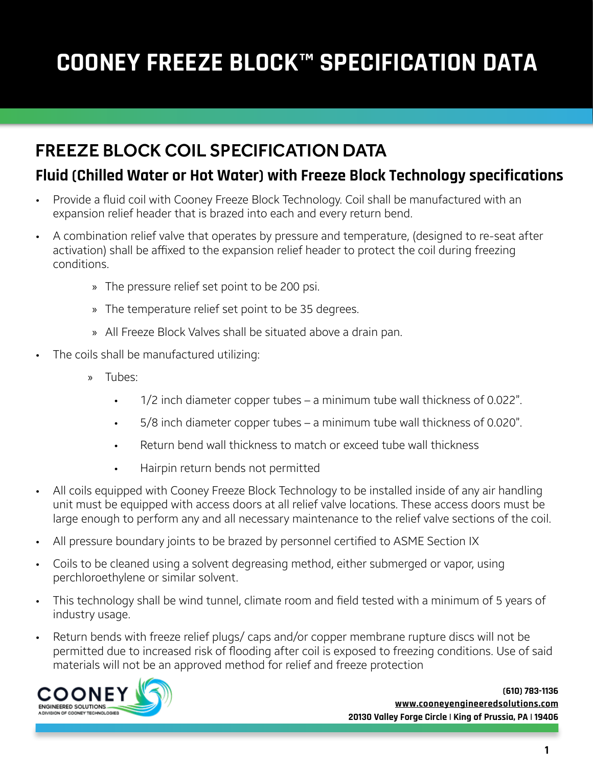# **COONEY FREEZE BLOCK™ SPECIFICATION DATA**

## FREEZE BLOCK COIL SPECIFICATION DATA

#### **Fluid (Chilled Water or Hot Water) with Freeze Block Technology specifications**

- Provide a fluid coil with Cooney Freeze Block Technology. Coil shall be manufactured with an expansion relief header that is brazed into each and every return bend.
- A combination relief valve that operates by pressure and temperature, (designed to re-seat after activation) shall be affixed to the expansion relief header to protect the coil during freezing conditions.
	- » The pressure relief set point to be 200 psi.
	- » The temperature relief set point to be 35 degrees.
	- » All Freeze Block Valves shall be situated above a drain pan.
- The coils shall be manufactured utilizing:
	- » Tubes:
		- 1/2 inch diameter copper tubes a minimum tube wall thickness of 0.022".
		- 5/8 inch diameter copper tubes a minimum tube wall thickness of 0.020".
		- Return bend wall thickness to match or exceed tube wall thickness
		- Hairpin return bends not permitted
- All coils equipped with Cooney Freeze Block Technology to be installed inside of any air handling unit must be equipped with access doors at all relief valve locations. These access doors must be large enough to perform any and all necessary maintenance to the relief valve sections of the coil.
- All pressure boundary joints to be brazed by personnel certified to ASME Section IX
- Coils to be cleaned using a solvent degreasing method, either submerged or vapor, using perchloroethylene or similar solvent.
- This technology shall be wind tunnel, climate room and field tested with a minimum of 5 years of industry usage.
- Return bends with freeze relief plugs/ caps and/or copper membrane rupture discs will not be permitted due to increased risk of flooding after coil is exposed to freezing conditions. Use of said materials will not be an approved method for relief and freeze protection

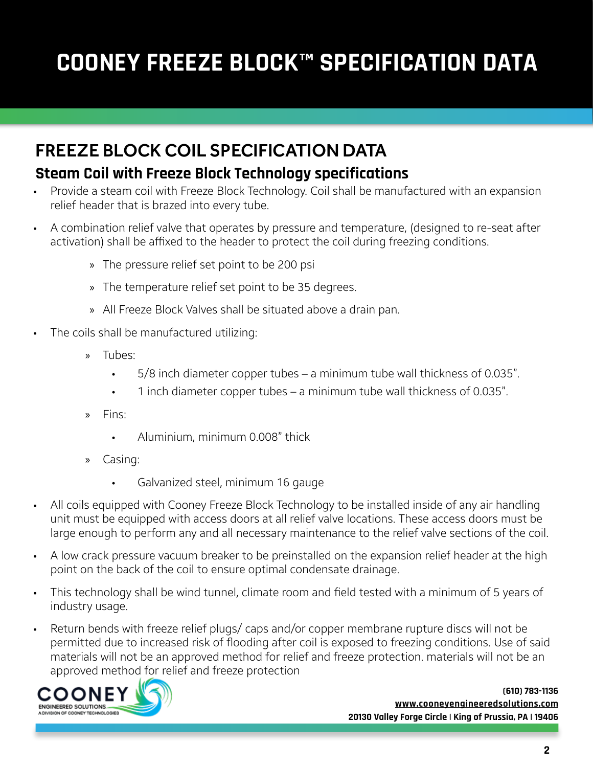# **COONEY FREEZE BLOCK™ SPECIFICATION DATA**

### FREEZE BLOCK COIL SPECIFICATION DATA

#### **Steam Coil with Freeze Block Technology specifications**

- Provide a steam coil with Freeze Block Technology. Coil shall be manufactured with an expansion relief header that is brazed into every tube.
- A combination relief valve that operates by pressure and temperature, (designed to re-seat after activation) shall be affixed to the header to protect the coil during freezing conditions.
	- » The pressure relief set point to be 200 psi
	- » The temperature relief set point to be 35 degrees.
	- » All Freeze Block Valves shall be situated above a drain pan.
- The coils shall be manufactured utilizing:
	- » Tubes:
		- 5/8 inch diameter copper tubes a minimum tube wall thickness of 0.035".
		- 1 inch diameter copper tubes a minimum tube wall thickness of 0.035".
	- » Fins:
		- Aluminium, minimum 0.008" thick
	- » Casing:
		- Galvanized steel, minimum 16 gauge
- All coils equipped with Cooney Freeze Block Technology to be installed inside of any air handling unit must be equipped with access doors at all relief valve locations. These access doors must be large enough to perform any and all necessary maintenance to the relief valve sections of the coil.
- A low crack pressure vacuum breaker to be preinstalled on the expansion relief header at the high point on the back of the coil to ensure optimal condensate drainage.
- This technology shall be wind tunnel, climate room and field tested with a minimum of 5 years of industry usage.
- Return bends with freeze relief plugs/ caps and/or copper membrane rupture discs will not be permitted due to increased risk of flooding after coil is exposed to freezing conditions. Use of said materials will not be an approved method for relief and freeze protection. materials will not be an approved method for relief and freeze protection